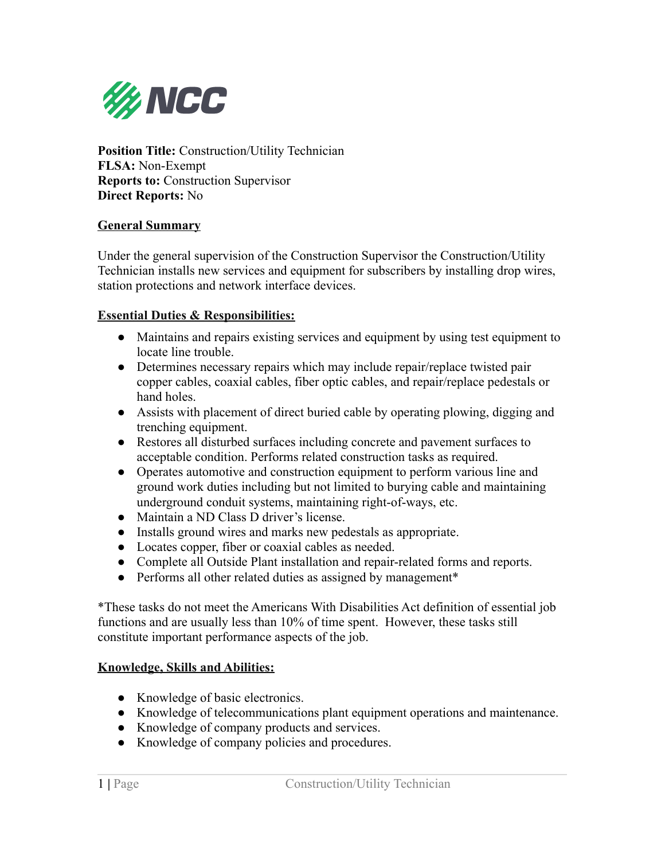

**Position Title:** Construction/Utility Technician **FLSA:** Non-Exempt **Reports to:** Construction Supervisor **Direct Reports:** No

### **General Summary**

Under the general supervision of the Construction Supervisor the Construction/Utility Technician installs new services and equipment for subscribers by installing drop wires, station protections and network interface devices.

### **Essential Duties & Responsibilities:**

- Maintains and repairs existing services and equipment by using test equipment to locate line trouble.
- Determines necessary repairs which may include repair/replace twisted pair copper cables, coaxial cables, fiber optic cables, and repair/replace pedestals or hand holes.
- Assists with placement of direct buried cable by operating plowing, digging and trenching equipment.
- Restores all disturbed surfaces including concrete and pavement surfaces to acceptable condition. Performs related construction tasks as required.
- Operates automotive and construction equipment to perform various line and ground work duties including but not limited to burying cable and maintaining underground conduit systems, maintaining right-of-ways, etc.
- Maintain a ND Class D driver's license.
- Installs ground wires and marks new pedestals as appropriate.
- Locates copper, fiber or coaxial cables as needed.
- Complete all Outside Plant installation and repair-related forms and reports.
- Performs all other related duties as assigned by management\*

\*These tasks do not meet the Americans With Disabilities Act definition of essential job functions and are usually less than 10% of time spent. However, these tasks still constitute important performance aspects of the job.

### **Knowledge, Skills and Abilities:**

- Knowledge of basic electronics.
- Knowledge of telecommunications plant equipment operations and maintenance.
- Knowledge of company products and services.
- Knowledge of company policies and procedures.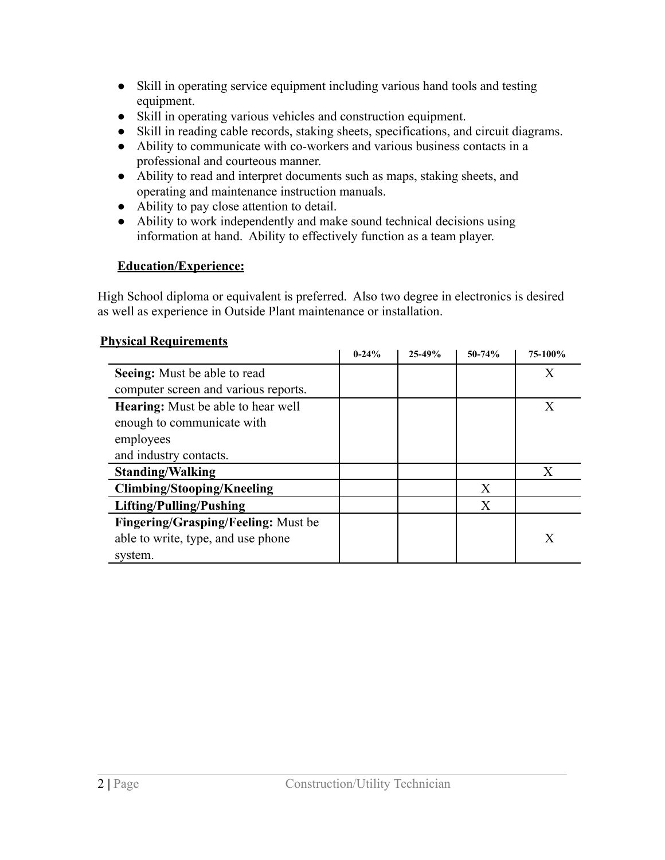- Skill in operating service equipment including various hand tools and testing equipment.
- Skill in operating various vehicles and construction equipment.
- Skill in reading cable records, staking sheets, specifications, and circuit diagrams.
- Ability to communicate with co-workers and various business contacts in a professional and courteous manner.
- Ability to read and interpret documents such as maps, staking sheets, and operating and maintenance instruction manuals.
- Ability to pay close attention to detail.
- Ability to work independently and make sound technical decisions using information at hand. Ability to effectively function as a team player.

# **Education/Experience:**

High School diploma or equivalent is preferred. Also two degree in electronics is desired as well as experience in Outside Plant maintenance or installation.

## **Physical Requirements**

|                                            | $0 - 24%$ | $25 - 49%$ | $50-74%$ | 75-100% |
|--------------------------------------------|-----------|------------|----------|---------|
| Seeing: Must be able to read               |           |            |          | X       |
| computer screen and various reports.       |           |            |          |         |
| <b>Hearing:</b> Must be able to hear well  |           |            |          | X       |
| enough to communicate with                 |           |            |          |         |
| employees                                  |           |            |          |         |
| and industry contacts.                     |           |            |          |         |
| <b>Standing/Walking</b>                    |           |            |          | X       |
| <b>Climbing/Stooping/Kneeling</b>          |           |            | X        |         |
| Lifting/Pulling/Pushing                    |           |            | X        |         |
| <b>Fingering/Grasping/Feeling:</b> Must be |           |            |          |         |
| able to write, type, and use phone         |           |            |          | X       |
| system.                                    |           |            |          |         |